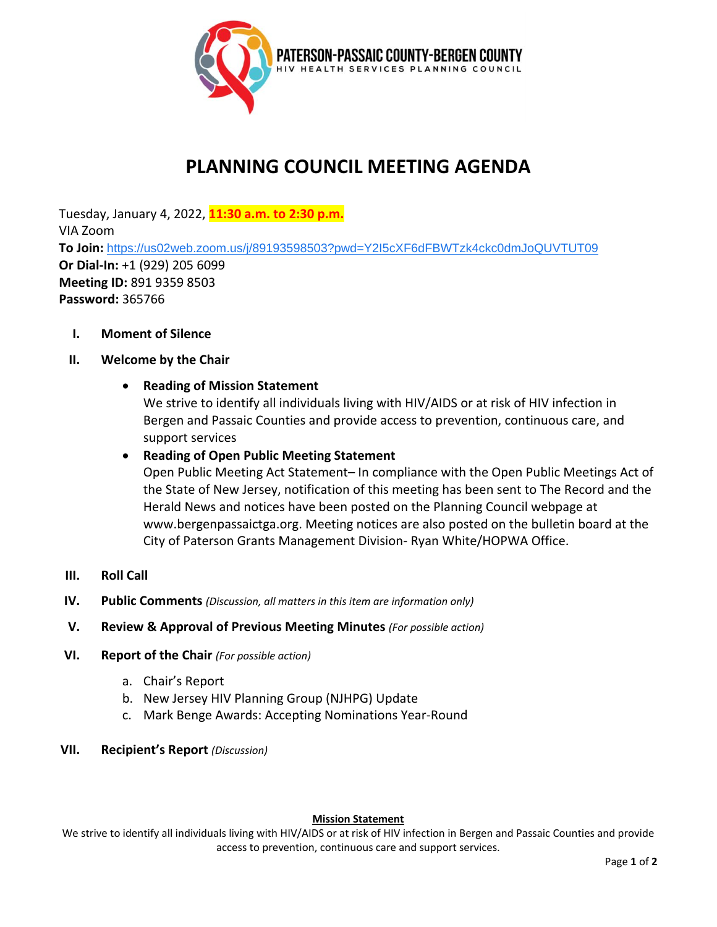

# **PLANNING COUNCIL MEETING AGENDA**

Tuesday, January 4, 2022, **11:30 a.m. to 2:30 p.m.** VIA Zoom **To Join:** <https://us02web.zoom.us/j/89193598503?pwd=Y2I5cXF6dFBWTzk4ckc0dmJoQUVTUT09> **Or Dial-In:** +1 (929) 205 6099 **Meeting ID:** 891 9359 8503 **Password:** 365766

**I. Moment of Silence**

## **II. Welcome by the Chair**

## • **Reading of Mission Statement**

We strive to identify all individuals living with HIV/AIDS or at risk of HIV infection in Bergen and Passaic Counties and provide access to prevention, continuous care, and support services

## • **Reading of Open Public Meeting Statement**

Open Public Meeting Act Statement– In compliance with the Open Public Meetings Act of the State of New Jersey, notification of this meeting has been sent to The Record and the Herald News and notices have been posted on the Planning Council webpage at www.bergenpassaictga.org. Meeting notices are also posted on the bulletin board at the City of Paterson Grants Management Division- Ryan White/HOPWA Office.

- **III. Roll Call**
- **IV. Public Comments** *(Discussion, all matters in this item are information only)*
- **V. Review & Approval of Previous Meeting Minutes** *(For possible action)*
- **VI. Report of the Chair** *(For possible action)* 
	- a. Chair's Report
	- b. New Jersey HIV Planning Group (NJHPG) Update
	- c. Mark Benge Awards: Accepting Nominations Year-Round
- **VII. Recipient's Report** *(Discussion)*

### **Mission Statement**

We strive to identify all individuals living with HIV/AIDS or at risk of HIV infection in Bergen and Passaic Counties and provide access to prevention, continuous care and support services.